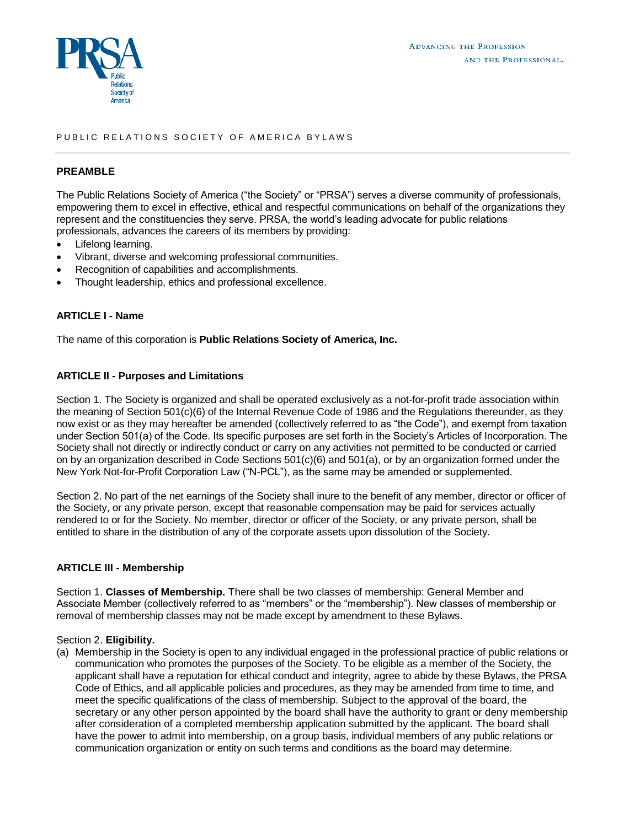

## PUBLIC RELATIONS SOCIETY OF AMERICA BYLAWS

### **PREAMBLE**

The Public Relations Society of America ("the Society" or "PRSA") serves a diverse community of professionals, empowering them to excel in effective, ethical and respectful communications on behalf of the organizations they represent and the constituencies they serve. PRSA, the world's leading advocate for public relations professionals, advances the careers of its members by providing:

- Lifelong learning.
- Vibrant, diverse and welcoming professional communities.
- Recognition of capabilities and accomplishments.
- Thought leadership, ethics and professional excellence.

# **ARTICLE I - Name**

The name of this corporation is **Public Relations Society of America, Inc.**

## **ARTICLE II - Purposes and Limitations**

Section 1. The Society is organized and shall be operated exclusively as a not-for-profit trade association within the meaning of Section 501(c)(6) of the Internal Revenue Code of 1986 and the Regulations thereunder, as they now exist or as they may hereafter be amended (collectively referred to as "the Code"), and exempt from taxation under Section 501(a) of the Code. Its specific purposes are set forth in the Society's Articles of Incorporation. The Society shall not directly or indirectly conduct or carry on any activities not permitted to be conducted or carried on by an organization described in Code Sections 501(c)(6) and 501(a), or by an organization formed under the New York Not-for-Profit Corporation Law ("N-PCL"), as the same may be amended or supplemented.

Section 2. No part of the net earnings of the Society shall inure to the benefit of any member, director or officer of the Society, or any private person, except that reasonable compensation may be paid for services actually rendered to or for the Society. No member, director or officer of the Society, or any private person, shall be entitled to share in the distribution of any of the corporate assets upon dissolution of the Society.

## **ARTICLE III - Membership**

Section 1. **Classes of Membership.** There shall be two classes of membership: General Member and Associate Member (collectively referred to as "members" or the "membership"). New classes of membership or removal of membership classes may not be made except by amendment to these Bylaws.

#### Section 2. **Eligibility.**

(a) Membership in the Society is open to any individual engaged in the professional practice of public relations or communication who promotes the purposes of the Society. To be eligible as a member of the Society, the applicant shall have a reputation for ethical conduct and integrity, agree to abide by these Bylaws, the PRSA Code of Ethics, and all applicable policies and procedures, as they may be amended from time to time, and meet the specific qualifications of the class of membership. Subject to the approval of the board, the secretary or any other person appointed by the board shall have the authority to grant or deny membership after consideration of a completed membership application submitted by the applicant. The board shall have the power to admit into membership, on a group basis, individual members of any public relations or communication organization or entity on such terms and conditions as the board may determine.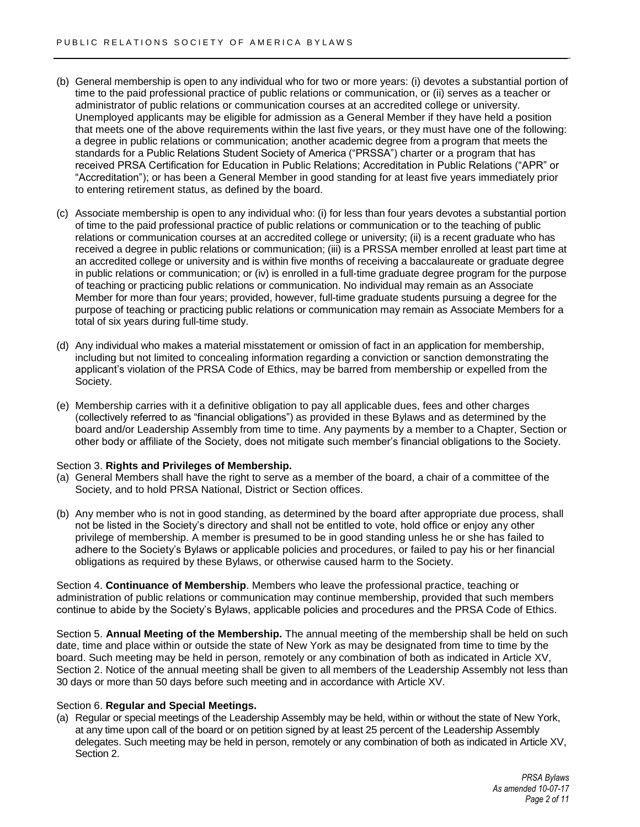- (b) General membership is open to any individual who for two or more years: (i) devotes a substantial portion of time to the paid professional practice of public relations or communication, or (ii) serves as a teacher or administrator of public relations or communication courses at an accredited college or university. Unemployed applicants may be eligible for admission as a General Member if they have held a position that meets one of the above requirements within the last five years, or they must have one of the following: a degree in public relations or communication; another academic degree from a program that meets the standards for a Public Relations Student Society of America ("PRSSA") charter or a program that has received PRSA Certification for Education in Public Relations; Accreditation in Public Relations ("APR" or "Accreditation"); or has been a General Member in good standing for at least five years immediately prior to entering retirement status, as defined by the board.
- (c) Associate membership is open to any individual who: (i) for less than four years devotes a substantial portion of time to the paid professional practice of public relations or communication or to the teaching of public relations or communication courses at an accredited college or university; (ii) is a recent graduate who has received a degree in public relations or communication; (iii) is a PRSSA member enrolled at least part time at an accredited college or university and is within five months of receiving a baccalaureate or graduate degree in public relations or communication; or (iv) is enrolled in a full-time graduate degree program for the purpose of teaching or practicing public relations or communication. No individual may remain as an Associate Member for more than four years; provided, however, full-time graduate students pursuing a degree for the purpose of teaching or practicing public relations or communication may remain as Associate Members for a total of six years during full-time study.
- (d) Any individual who makes a material misstatement or omission of fact in an application for membership, including but not limited to concealing information regarding a conviction or sanction demonstrating the applicant's violation of the PRSA Code of Ethics, may be barred from membership or expelled from the Society.
- (e) Membership carries with it a definitive obligation to pay all applicable dues, fees and other charges (collectively referred to as "financial obligations") as provided in these Bylaws and as determined by the board and/or Leadership Assembly from time to time. Any payments by a member to a Chapter, Section or other body or affiliate of the Society, does not mitigate such member's financial obligations to the Society.

## Section 3. **Rights and Privileges of Membership.**

- (a) General Members shall have the right to serve as a member of the board, a chair of a committee of the Society, and to hold PRSA National, District or Section offices.
- (b) Any member who is not in good standing, as determined by the board after appropriate due process, shall not be listed in the Society's directory and shall not be entitled to vote, hold office or enjoy any other privilege of membership. A member is presumed to be in good standing unless he or she has failed to adhere to the Society's Bylaws or applicable policies and procedures, or failed to pay his or her financial obligations as required by these Bylaws, or otherwise caused harm to the Society.

Section 4. **Continuance of Membership**. Members who leave the professional practice, teaching or administration of public relations or communication may continue membership, provided that such members continue to abide by the Society's Bylaws, applicable policies and procedures and the PRSA Code of Ethics.

Section 5. **Annual Meeting of the Membership.** The annual meeting of the membership shall be held on such date, time and place within or outside the state of New York as may be designated from time to time by the board. Such meeting may be held in person, remotely or any combination of both as indicated in Article XV, Section 2. Notice of the annual meeting shall be given to all members of the Leadership Assembly not less than 30 days or more than 50 days before such meeting and in accordance with Article XV.

#### Section 6. **Regular and Special Meetings.**

(a) Regular or special meetings of the Leadership Assembly may be held, within or without the state of New York, at any time upon call of the board or on petition signed by at least 25 percent of the Leadership Assembly delegates. Such meeting may be held in person, remotely or any combination of both as indicated in Article XV, Section 2.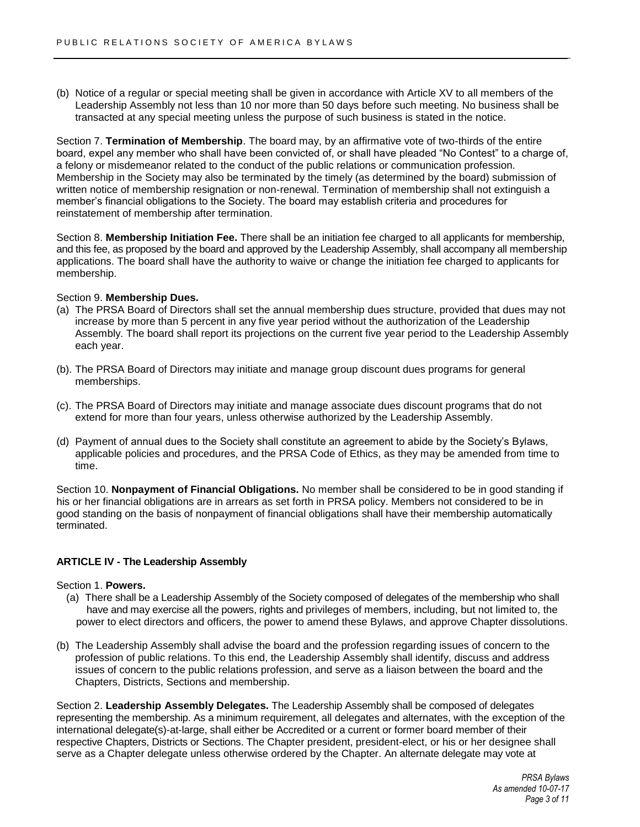(b) Notice of a regular or special meeting shall be given in accordance with Article XV to all members of the Leadership Assembly not less than 10 nor more than 50 days before such meeting. No business shall be transacted at any special meeting unless the purpose of such business is stated in the notice.

Section 7. **Termination of Membership**. The board may, by an affirmative vote of two-thirds of the entire board, expel any member who shall have been convicted of, or shall have pleaded "No Contest" to a charge of, a felony or misdemeanor related to the conduct of the public relations or communication profession. Membership in the Society may also be terminated by the timely (as determined by the board) submission of written notice of membership resignation or non-renewal. Termination of membership shall not extinguish a member's financial obligations to the Society. The board may establish criteria and procedures for reinstatement of membership after termination.

Section 8. **Membership Initiation Fee.** There shall be an initiation fee charged to all applicants for membership, and this fee, as proposed by the board and approved by the Leadership Assembly, shall accompany all membership applications. The board shall have the authority to waive or change the initiation fee charged to applicants for membership.

#### Section 9. **Membership Dues.**

- (a) The PRSA Board of Directors shall set the annual membership dues structure, provided that dues may not increase by more than 5 percent in any five year period without the authorization of the Leadership Assembly. The board shall report its projections on the current five year period to the Leadership Assembly each year.
- (b). The PRSA Board of Directors may initiate and manage group discount dues programs for general memberships.
- (c). The PRSA Board of Directors may initiate and manage associate dues discount programs that do not extend for more than four years, unless otherwise authorized by the Leadership Assembly.
- (d) Payment of annual dues to the Society shall constitute an agreement to abide by the Society's Bylaws, applicable policies and procedures, and the PRSA Code of Ethics, as they may be amended from time to time.

Section 10. **Nonpayment of Financial Obligations.** No member shall be considered to be in good standing if his or her financial obligations are in arrears as set forth in PRSA policy. Members not considered to be in good standing on the basis of nonpayment of financial obligations shall have their membership automatically terminated.

#### **ARTICLE IV - The Leadership Assembly**

#### Section 1. **Powers.**

- (a) There shall be a Leadership Assembly of the Society composed of delegates of the membership who shall have and may exercise all the powers, rights and privileges of members, including, but not limited to, the power to elect directors and officers, the power to amend these Bylaws, and approve Chapter dissolutions.
- (b) The Leadership Assembly shall advise the board and the profession regarding issues of concern to the profession of public relations. To this end, the Leadership Assembly shall identify, discuss and address issues of concern to the public relations profession, and serve as a liaison between the board and the Chapters, Districts, Sections and membership.

Section 2. **Leadership Assembly Delegates.** The Leadership Assembly shall be composed of delegates representing the membership. As a minimum requirement, all delegates and alternates, with the exception of the international delegate(s)-at-large, shall either be Accredited or a current or former board member of their respective Chapters, Districts or Sections. The Chapter president, president-elect, or his or her designee shall serve as a Chapter delegate unless otherwise ordered by the Chapter. An alternate delegate may vote at

> *PRSA Bylaws As amended 10-07-17 Page 3 of 11*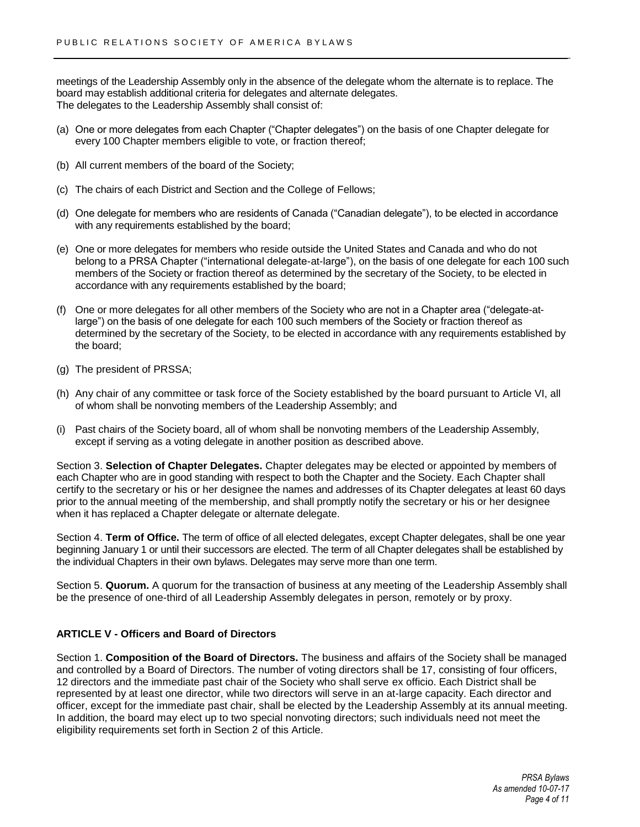meetings of the Leadership Assembly only in the absence of the delegate whom the alternate is to replace. The board may establish additional criteria for delegates and alternate delegates. The delegates to the Leadership Assembly shall consist of:

- (a) One or more delegates from each Chapter ("Chapter delegates") on the basis of one Chapter delegate for every 100 Chapter members eligible to vote, or fraction thereof;
- (b) All current members of the board of the Society;
- (c) The chairs of each District and Section and the College of Fellows;
- (d) One delegate for members who are residents of Canada ("Canadian delegate"), to be elected in accordance with any requirements established by the board;
- (e) One or more delegates for members who reside outside the United States and Canada and who do not belong to a PRSA Chapter ("international delegate-at-large"), on the basis of one delegate for each 100 such members of the Society or fraction thereof as determined by the secretary of the Society, to be elected in accordance with any requirements established by the board;
- (f) One or more delegates for all other members of the Society who are not in a Chapter area ("delegate-atlarge") on the basis of one delegate for each 100 such members of the Society or fraction thereof as determined by the secretary of the Society, to be elected in accordance with any requirements established by the board;
- (g) The president of PRSSA;
- (h) Any chair of any committee or task force of the Society established by the board pursuant to Article VI, all of whom shall be nonvoting members of the Leadership Assembly; and
- (i) Past chairs of the Society board, all of whom shall be nonvoting members of the Leadership Assembly, except if serving as a voting delegate in another position as described above.

Section 3. **Selection of Chapter Delegates.** Chapter delegates may be elected or appointed by members of each Chapter who are in good standing with respect to both the Chapter and the Society. Each Chapter shall certify to the secretary or his or her designee the names and addresses of its Chapter delegates at least 60 days prior to the annual meeting of the membership, and shall promptly notify the secretary or his or her designee when it has replaced a Chapter delegate or alternate delegate.

Section 4. **Term of Office.** The term of office of all elected delegates, except Chapter delegates, shall be one year beginning January 1 or until their successors are elected. The term of all Chapter delegates shall be established by the individual Chapters in their own bylaws. Delegates may serve more than one term.

Section 5. **Quorum.** A quorum for the transaction of business at any meeting of the Leadership Assembly shall be the presence of one-third of all Leadership Assembly delegates in person, remotely or by proxy.

# **ARTICLE V - Officers and Board of Directors**

Section 1. **Composition of the Board of Directors.** The business and affairs of the Society shall be managed and controlled by a Board of Directors. The number of voting directors shall be 17, consisting of four officers, 12 directors and the immediate past chair of the Society who shall serve ex officio. Each District shall be represented by at least one director, while two directors will serve in an at-large capacity. Each director and officer, except for the immediate past chair, shall be elected by the Leadership Assembly at its annual meeting. In addition, the board may elect up to two special nonvoting directors; such individuals need not meet the eligibility requirements set forth in Section 2 of this Article.

> *PRSA Bylaws As amended 10-07-17 Page 4 of 11*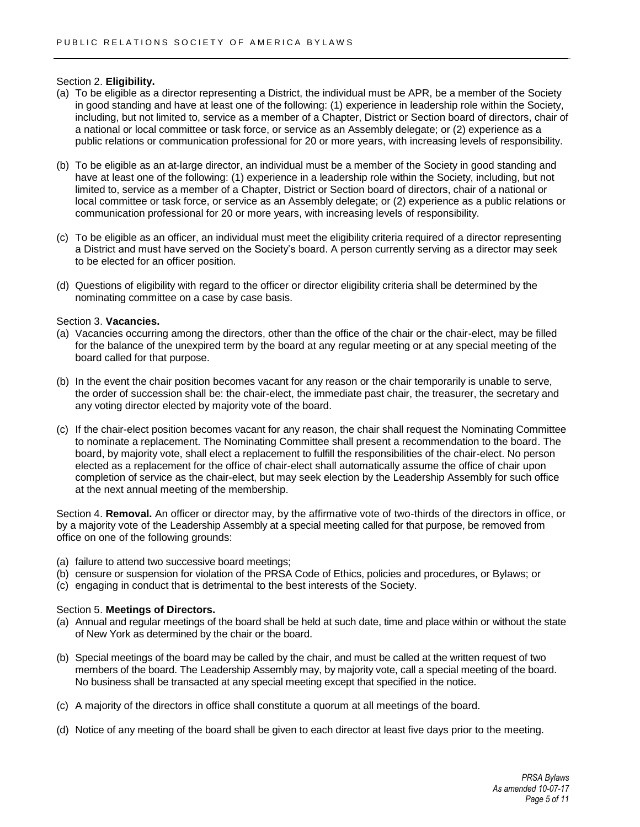Section 2. **Eligibility.**

- (a) To be eligible as a director representing a District, the individual must be APR, be a member of the Society in good standing and have at least one of the following: (1) experience in leadership role within the Society, including, but not limited to, service as a member of a Chapter, District or Section board of directors, chair of a national or local committee or task force, or service as an Assembly delegate; or (2) experience as a public relations or communication professional for 20 or more years, with increasing levels of responsibility.
- (b) To be eligible as an at-large director, an individual must be a member of the Society in good standing and have at least one of the following: (1) experience in a leadership role within the Society, including, but not limited to, service as a member of a Chapter, District or Section board of directors, chair of a national or local committee or task force, or service as an Assembly delegate; or (2) experience as a public relations or communication professional for 20 or more years, with increasing levels of responsibility.
- (c) To be eligible as an officer, an individual must meet the eligibility criteria required of a director representing a District and must have served on the Society's board. A person currently serving as a director may seek to be elected for an officer position.
- (d) Questions of eligibility with regard to the officer or director eligibility criteria shall be determined by the nominating committee on a case by case basis.

#### Section 3. **Vacancies.**

- (a) Vacancies occurring among the directors, other than the office of the chair or the chair-elect, may be filled for the balance of the unexpired term by the board at any regular meeting or at any special meeting of the board called for that purpose.
- (b) In the event the chair position becomes vacant for any reason or the chair temporarily is unable to serve, the order of succession shall be: the chair-elect, the immediate past chair, the treasurer, the secretary and any voting director elected by majority vote of the board.
- (c) If the chair-elect position becomes vacant for any reason, the chair shall request the Nominating Committee to nominate a replacement. The Nominating Committee shall present a recommendation to the board. The board, by majority vote, shall elect a replacement to fulfill the responsibilities of the chair-elect. No person elected as a replacement for the office of chair-elect shall automatically assume the office of chair upon completion of service as the chair-elect, but may seek election by the Leadership Assembly for such office at the next annual meeting of the membership.

Section 4. **Removal.** An officer or director may, by the affirmative vote of two-thirds of the directors in office, or by a majority vote of the Leadership Assembly at a special meeting called for that purpose, be removed from office on one of the following grounds:

- (a) failure to attend two successive board meetings;
- (b) censure or suspension for violation of the PRSA Code of Ethics, policies and procedures, or Bylaws; or
- (c) engaging in conduct that is detrimental to the best interests of the Society.

## Section 5. **Meetings of Directors.**

- (a) Annual and regular meetings of the board shall be held at such date, time and place within or without the state of New York as determined by the chair or the board.
- (b) Special meetings of the board may be called by the chair, and must be called at the written request of two members of the board. The Leadership Assembly may, by majority vote, call a special meeting of the board. No business shall be transacted at any special meeting except that specified in the notice.
- (c) A majority of the directors in office shall constitute a quorum at all meetings of the board.
- (d) Notice of any meeting of the board shall be given to each director at least five days prior to the meeting.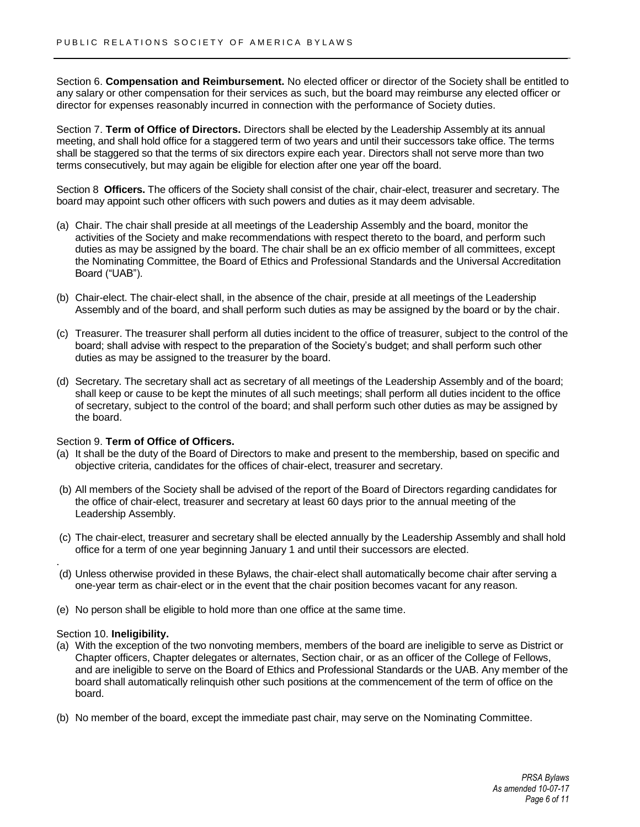Section 6. **Compensation and Reimbursement.** No elected officer or director of the Society shall be entitled to any salary or other compensation for their services as such, but the board may reimburse any elected officer or director for expenses reasonably incurred in connection with the performance of Society duties.

Section 7. **Term of Office of Directors.** Directors shall be elected by the Leadership Assembly at its annual meeting, and shall hold office for a staggered term of two years and until their successors take office. The terms shall be staggered so that the terms of six directors expire each year. Directors shall not serve more than two terms consecutively, but may again be eligible for election after one year off the board.

Section 8 **Officers.** The officers of the Society shall consist of the chair, chair-elect, treasurer and secretary. The board may appoint such other officers with such powers and duties as it may deem advisable.

- (a) Chair. The chair shall preside at all meetings of the Leadership Assembly and the board, monitor the activities of the Society and make recommendations with respect thereto to the board, and perform such duties as may be assigned by the board. The chair shall be an ex officio member of all committees, except the Nominating Committee, the Board of Ethics and Professional Standards and the Universal Accreditation Board ("UAB").
- (b) Chair-elect. The chair-elect shall, in the absence of the chair, preside at all meetings of the Leadership Assembly and of the board, and shall perform such duties as may be assigned by the board or by the chair.
- (c) Treasurer. The treasurer shall perform all duties incident to the office of treasurer, subject to the control of the board; shall advise with respect to the preparation of the Society's budget; and shall perform such other duties as may be assigned to the treasurer by the board.
- (d) Secretary. The secretary shall act as secretary of all meetings of the Leadership Assembly and of the board; shall keep or cause to be kept the minutes of all such meetings; shall perform all duties incident to the office of secretary, subject to the control of the board; and shall perform such other duties as may be assigned by the board.

## Section 9. **Term of Office of Officers.**

- (a) It shall be the duty of the Board of Directors to make and present to the membership, based on specific and objective criteria, candidates for the offices of chair-elect, treasurer and secretary.
- (b) All members of the Society shall be advised of the report of the Board of Directors regarding candidates for the office of chair-elect, treasurer and secretary at least 60 days prior to the annual meeting of the Leadership Assembly.
- (c) The chair-elect, treasurer and secretary shall be elected annually by the Leadership Assembly and shall hold office for a term of one year beginning January 1 and until their successors are elected.
- (d) Unless otherwise provided in these Bylaws, the chair-elect shall automatically become chair after serving a one-year term as chair-elect or in the event that the chair position becomes vacant for any reason.
- (e) No person shall be eligible to hold more than one office at the same time.

#### Section 10. **Ineligibility.**

.

- (a) With the exception of the two nonvoting members, members of the board are ineligible to serve as District or Chapter officers, Chapter delegates or alternates, Section chair, or as an officer of the College of Fellows, and are ineligible to serve on the Board of Ethics and Professional Standards or the UAB. Any member of the board shall automatically relinquish other such positions at the commencement of the term of office on the board.
- (b) No member of the board, except the immediate past chair, may serve on the Nominating Committee.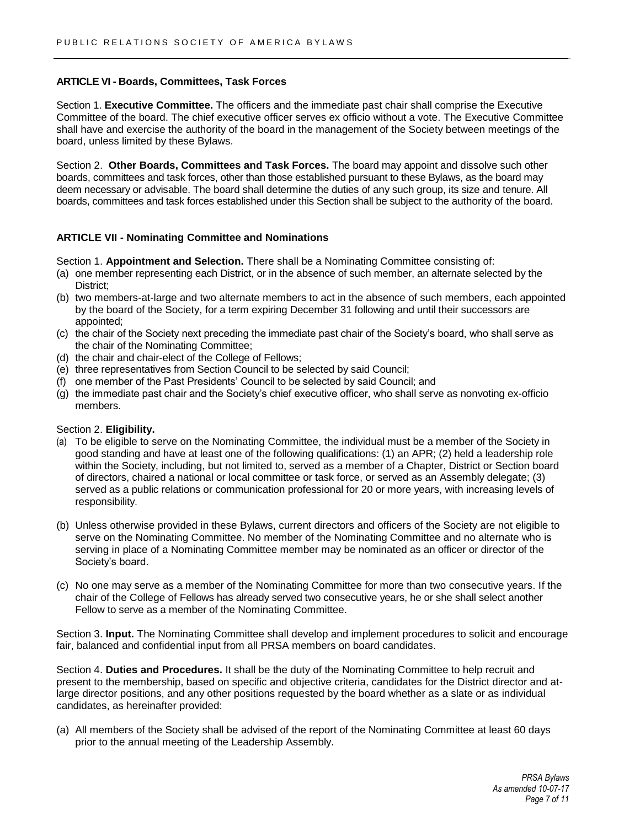## **ARTICLE VI - Boards, Committees, Task Forces**

Section 1. **Executive Committee.** The officers and the immediate past chair shall comprise the Executive Committee of the board. The chief executive officer serves ex officio without a vote. The Executive Committee shall have and exercise the authority of the board in the management of the Society between meetings of the board, unless limited by these Bylaws.

Section 2. **Other Boards, Committees and Task Forces.** The board may appoint and dissolve such other boards, committees and task forces, other than those established pursuant to these Bylaws, as the board may deem necessary or advisable. The board shall determine the duties of any such group, its size and tenure. All boards, committees and task forces established under this Section shall be subject to the authority of the board.

## **ARTICLE VII - Nominating Committee and Nominations**

Section 1. **Appointment and Selection.** There shall be a Nominating Committee consisting of:

- (a) one member representing each District, or in the absence of such member, an alternate selected by the District:
- (b) two members-at-large and two alternate members to act in the absence of such members, each appointed by the board of the Society, for a term expiring December 31 following and until their successors are appointed;
- (c) the chair of the Society next preceding the immediate past chair of the Society's board, who shall serve as the chair of the Nominating Committee;
- (d) the chair and chair-elect of the College of Fellows;
- (e) three representatives from Section Council to be selected by said Council;
- (f) one member of the Past Presidents' Council to be selected by said Council; and
- (g) the immediate past chair and the Society's chief executive officer, who shall serve as nonvoting ex-officio members.

#### Section 2. **Eligibility.**

- (a) To be eligible to serve on the Nominating Committee, the individual must be a member of the Society in good standing and have at least one of the following qualifications: (1) an APR; (2) held a leadership role within the Society, including, but not limited to, served as a member of a Chapter, District or Section board of directors, chaired a national or local committee or task force, or served as an Assembly delegate; (3) served as a public relations or communication professional for 20 or more years, with increasing levels of responsibility.
- (b) Unless otherwise provided in these Bylaws, current directors and officers of the Society are not eligible to serve on the Nominating Committee. No member of the Nominating Committee and no alternate who is serving in place of a Nominating Committee member may be nominated as an officer or director of the Society's board.
- (c) No one may serve as a member of the Nominating Committee for more than two consecutive years. If the chair of the College of Fellows has already served two consecutive years, he or she shall select another Fellow to serve as a member of the Nominating Committee.

Section 3. **Input.** The Nominating Committee shall develop and implement procedures to solicit and encourage fair, balanced and confidential input from all PRSA members on board candidates.

Section 4. **Duties and Procedures.** It shall be the duty of the Nominating Committee to help recruit and present to the membership, based on specific and objective criteria, candidates for the District director and atlarge director positions, and any other positions requested by the board whether as a slate or as individual candidates, as hereinafter provided:

(a) All members of the Society shall be advised of the report of the Nominating Committee at least 60 days prior to the annual meeting of the Leadership Assembly.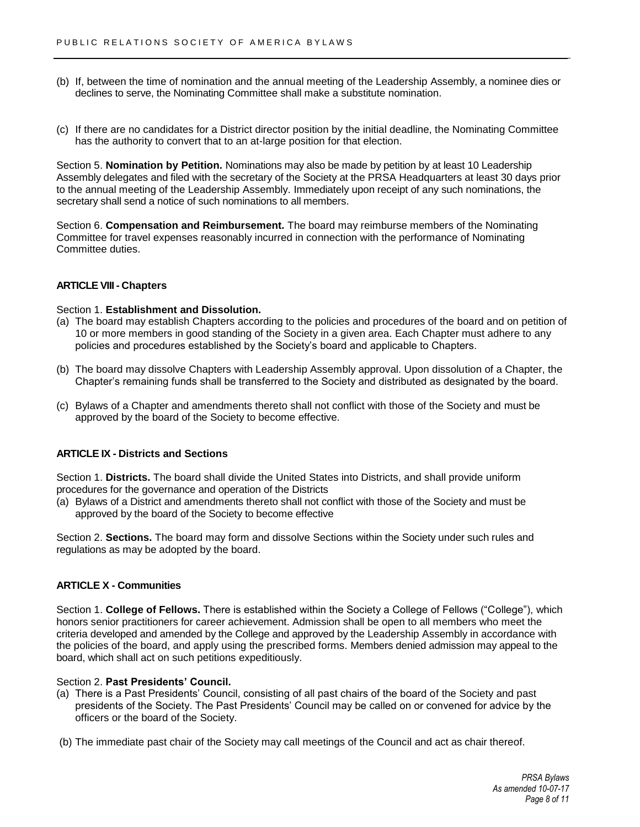- (b) If, between the time of nomination and the annual meeting of the Leadership Assembly, a nominee dies or declines to serve, the Nominating Committee shall make a substitute nomination.
- (c) If there are no candidates for a District director position by the initial deadline, the Nominating Committee has the authority to convert that to an at-large position for that election.

Section 5. **Nomination by Petition.** Nominations may also be made by petition by at least 10 Leadership Assembly delegates and filed with the secretary of the Society at the PRSA Headquarters at least 30 days prior to the annual meeting of the Leadership Assembly. Immediately upon receipt of any such nominations, the secretary shall send a notice of such nominations to all members.

Section 6. **Compensation and Reimbursement.** The board may reimburse members of the Nominating Committee for travel expenses reasonably incurred in connection with the performance of Nominating Committee duties.

## **ARTICLE VIII - Chapters**

## Section 1. **Establishment and Dissolution.**

- (a) The board may establish Chapters according to the policies and procedures of the board and on petition of 10 or more members in good standing of the Society in a given area. Each Chapter must adhere to any policies and procedures established by the Society's board and applicable to Chapters.
- (b) The board may dissolve Chapters with Leadership Assembly approval. Upon dissolution of a Chapter, the Chapter's remaining funds shall be transferred to the Society and distributed as designated by the board.
- (c) Bylaws of a Chapter and amendments thereto shall not conflict with those of the Society and must be approved by the board of the Society to become effective.

# **ARTICLE IX - Districts and Sections**

Section 1. **Districts.** The board shall divide the United States into Districts, and shall provide uniform procedures for the governance and operation of the Districts

(a) Bylaws of a District and amendments thereto shall not conflict with those of the Society and must be approved by the board of the Society to become effective

Section 2. **Sections.** The board may form and dissolve Sections within the Society under such rules and regulations as may be adopted by the board.

## **ARTICLE X - Communities**

Section 1. **College of Fellows.** There is established within the Society a College of Fellows ("College"), which honors senior practitioners for career achievement. Admission shall be open to all members who meet the criteria developed and amended by the College and approved by the Leadership Assembly in accordance with the policies of the board, and apply using the prescribed forms. Members denied admission may appeal to the board, which shall act on such petitions expeditiously.

## Section 2. **Past Presidents' Council.**

- (a) There is a Past Presidents' Council, consisting of all past chairs of the board of the Society and past presidents of the Society. The Past Presidents' Council may be called on or convened for advice by the officers or the board of the Society.
- (b) The immediate past chair of the Society may call meetings of the Council and act as chair thereof.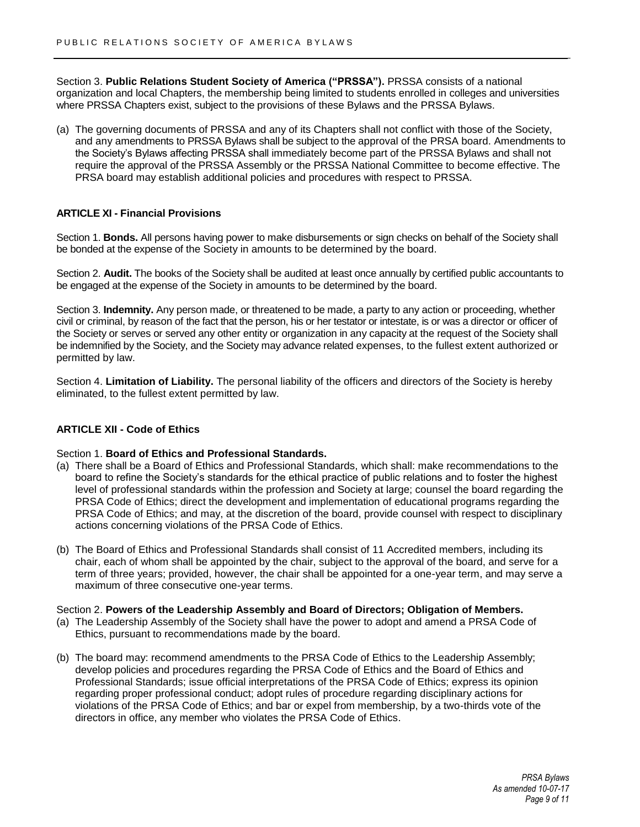Section 3. **Public Relations Student Society of America ("PRSSA").** PRSSA consists of a national organization and local Chapters, the membership being limited to students enrolled in colleges and universities where PRSSA Chapters exist, subject to the provisions of these Bylaws and the PRSSA Bylaws.

(a) The governing documents of PRSSA and any of its Chapters shall not conflict with those of the Society, and any amendments to PRSSA Bylaws shall be subject to the approval of the PRSA board. Amendments to the Society's Bylaws affecting PRSSA shall immediately become part of the PRSSA Bylaws and shall not require the approval of the PRSSA Assembly or the PRSSA National Committee to become effective. The PRSA board may establish additional policies and procedures with respect to PRSSA.

## **ARTICLE XI - Financial Provisions**

Section 1. **Bonds.** All persons having power to make disbursements or sign checks on behalf of the Society shall be bonded at the expense of the Society in amounts to be determined by the board.

Section 2. **Audit.** The books of the Society shall be audited at least once annually by certified public accountants to be engaged at the expense of the Society in amounts to be determined by the board.

Section 3. **Indemnity.** Any person made, or threatened to be made, a party to any action or proceeding, whether civil or criminal, by reason of the fact that the person, his or her testator or intestate, is or was a director or officer of the Society or serves or served any other entity or organization in any capacity at the request of the Society shall be indemnified by the Society, and the Society may advance related expenses, to the fullest extent authorized or permitted by law.

Section 4. **Limitation of Liability.** The personal liability of the officers and directors of the Society is hereby eliminated, to the fullest extent permitted by law.

## **ARTICLE XII - Code of Ethics**

Section 1. **Board of Ethics and Professional Standards.**

- (a) There shall be a Board of Ethics and Professional Standards, which shall: make recommendations to the board to refine the Society's standards for the ethical practice of public relations and to foster the highest level of professional standards within the profession and Society at large; counsel the board regarding the PRSA Code of Ethics; direct the development and implementation of educational programs regarding the PRSA Code of Ethics; and may, at the discretion of the board, provide counsel with respect to disciplinary actions concerning violations of the PRSA Code of Ethics.
- (b) The Board of Ethics and Professional Standards shall consist of 11 Accredited members, including its chair, each of whom shall be appointed by the chair, subject to the approval of the board, and serve for a term of three years; provided, however, the chair shall be appointed for a one-year term, and may serve a maximum of three consecutive one-year terms.

## Section 2. **Powers of the Leadership Assembly and Board of Directors; Obligation of Members.**

- (a) The Leadership Assembly of the Society shall have the power to adopt and amend a PRSA Code of Ethics, pursuant to recommendations made by the board.
- (b) The board may: recommend amendments to the PRSA Code of Ethics to the Leadership Assembly; develop policies and procedures regarding the PRSA Code of Ethics and the Board of Ethics and Professional Standards; issue official interpretations of the PRSA Code of Ethics; express its opinion regarding proper professional conduct; adopt rules of procedure regarding disciplinary actions for violations of the PRSA Code of Ethics; and bar or expel from membership, by a two-thirds vote of the directors in office, any member who violates the PRSA Code of Ethics.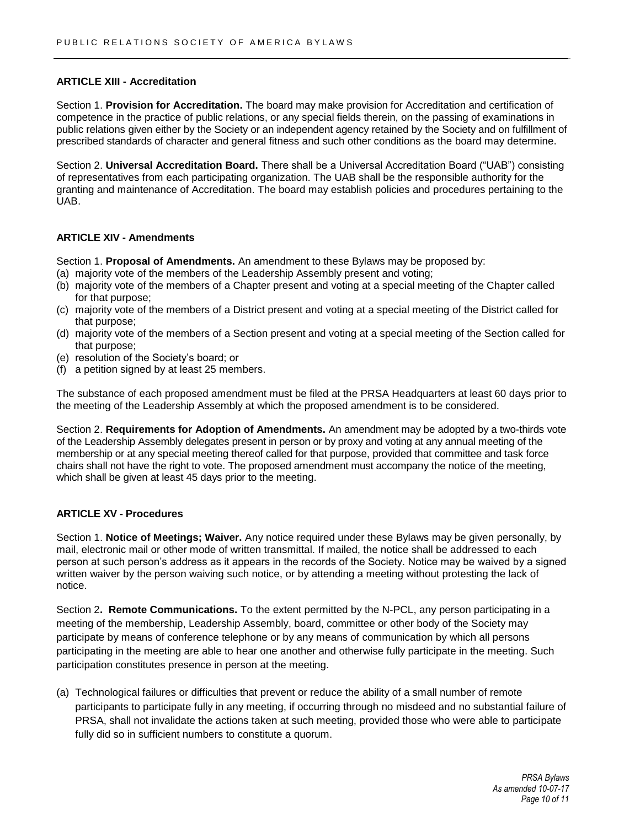## **ARTICLE XIII - Accreditation**

Section 1. **Provision for Accreditation.** The board may make provision for Accreditation and certification of competence in the practice of public relations, or any special fields therein, on the passing of examinations in public relations given either by the Society or an independent agency retained by the Society and on fulfillment of prescribed standards of character and general fitness and such other conditions as the board may determine.

Section 2. **Universal Accreditation Board.** There shall be a Universal Accreditation Board ("UAB") consisting of representatives from each participating organization. The UAB shall be the responsible authority for the granting and maintenance of Accreditation. The board may establish policies and procedures pertaining to the UAB.

## **ARTICLE XIV - Amendments**

Section 1. **Proposal of Amendments.** An amendment to these Bylaws may be proposed by:

- (a) majority vote of the members of the Leadership Assembly present and voting;
- (b) majority vote of the members of a Chapter present and voting at a special meeting of the Chapter called for that purpose;
- (c) majority vote of the members of a District present and voting at a special meeting of the District called for that purpose;
- (d) majority vote of the members of a Section present and voting at a special meeting of the Section called for that purpose;
- (e) resolution of the Society's board; or
- (f) a petition signed by at least 25 members.

The substance of each proposed amendment must be filed at the PRSA Headquarters at least 60 days prior to the meeting of the Leadership Assembly at which the proposed amendment is to be considered.

Section 2. **Requirements for Adoption of Amendments.** An amendment may be adopted by a two-thirds vote of the Leadership Assembly delegates present in person or by proxy and voting at any annual meeting of the membership or at any special meeting thereof called for that purpose, provided that committee and task force chairs shall not have the right to vote. The proposed amendment must accompany the notice of the meeting, which shall be given at least 45 days prior to the meeting.

## **ARTICLE XV - Procedures**

Section 1. **Notice of Meetings; Waiver.** Any notice required under these Bylaws may be given personally, by mail, electronic mail or other mode of written transmittal. If mailed, the notice shall be addressed to each person at such person's address as it appears in the records of the Society. Notice may be waived by a signed written waiver by the person waiving such notice, or by attending a meeting without protesting the lack of notice.

Section 2**. Remote Communications.** To the extent permitted by the N-PCL, any person participating in a meeting of the membership, Leadership Assembly, board, committee or other body of the Society may participate by means of conference telephone or by any means of communication by which all persons participating in the meeting are able to hear one another and otherwise fully participate in the meeting. Such participation constitutes presence in person at the meeting.

(a) Technological failures or difficulties that prevent or reduce the ability of a small number of remote participants to participate fully in any meeting, if occurring through no misdeed and no substantial failure of PRSA, shall not invalidate the actions taken at such meeting, provided those who were able to participate fully did so in sufficient numbers to constitute a quorum.